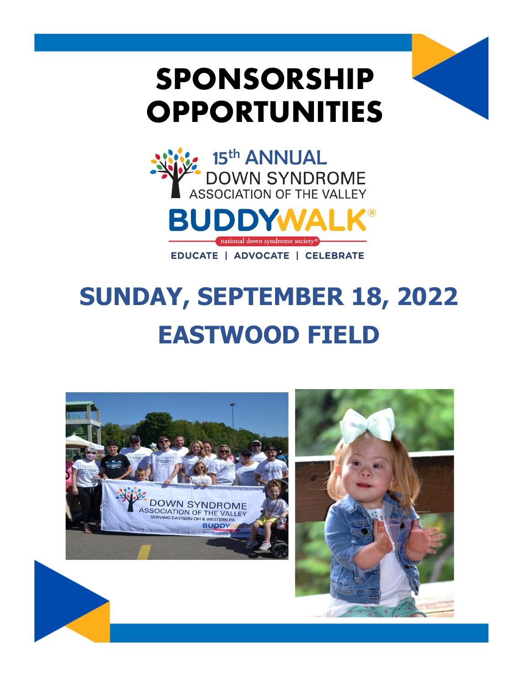# **SPONSORSHIP OPPORTUNITIES**



# SUNDAY, SEPTEMBER 18, 2022 **EASTWOOD FIELD**

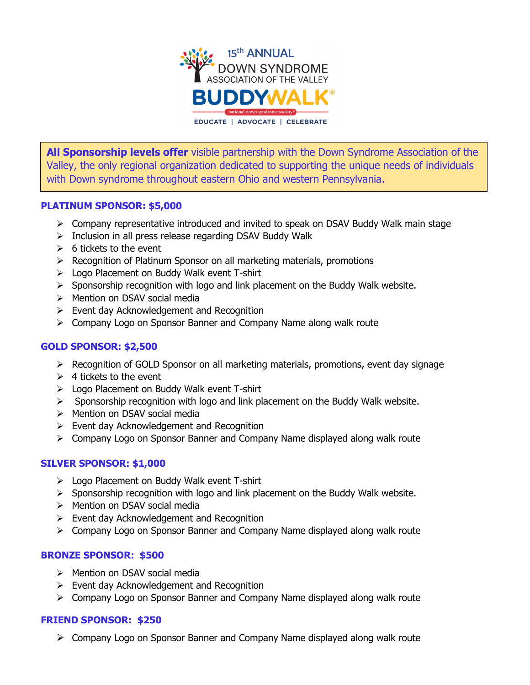

**All Sponsorship levels offer** visible partnership with the Down Syndrome Association of the Valley, the only regional organization dedicated to supporting the unique needs of individuals with Down syndrome throughout eastern Ohio and western Pennsylvania.

### **PLATINUM SPONSOR: \$5,000**

- ➢ Company representative introduced and invited to speak on DSAV Buddy Walk main stage
- ➢ Inclusion in all press release regarding DSAV Buddy Walk
- $\geqslant$  6 tickets to the event
- ➢ Recognition of Platinum Sponsor on all marketing materials, promotions
- ➢ Logo Placement on Buddy Walk event T-shirt
- ➢ Sponsorship recognition with logo and link placement on the Buddy Walk website.
- ➢ Mention on DSAV social media
- $\triangleright$  Event day Acknowledgement and Recognition
- ➢ Company Logo on Sponsor Banner and Company Name along walk route

## **GOLD SPONSOR: \$2,500**

- $\triangleright$  Recognition of GOLD Sponsor on all marketing materials, promotions, event day signage
- $\geq 4$  tickets to the event
- ➢ Logo Placement on Buddy Walk event T-shirt
- ➢ Sponsorship recognition with logo and link placement on the Buddy Walk website.
- ➢ Mention on DSAV social media
- ➢ Event day Acknowledgement and Recognition
- ➢ Company Logo on Sponsor Banner and Company Name displayed along walk route

### **SILVER SPONSOR: \$1,000**

- ➢ Logo Placement on Buddy Walk event T-shirt
- $\triangleright$  Sponsorship recognition with logo and link placement on the Buddy Walk website.
- ➢ Mention on DSAV social media
- $\triangleright$  Event day Acknowledgement and Recognition
- ➢ Company Logo on Sponsor Banner and Company Name displayed along walk route

### **BRONZE SPONSOR: \$500**

- ➢ Mention on DSAV social media
- ➢ Event day Acknowledgement and Recognition
- ➢ Company Logo on Sponsor Banner and Company Name displayed along walk route

### **FRIEND SPONSOR: \$250**

➢ Company Logo on Sponsor Banner and Company Name displayed along walk route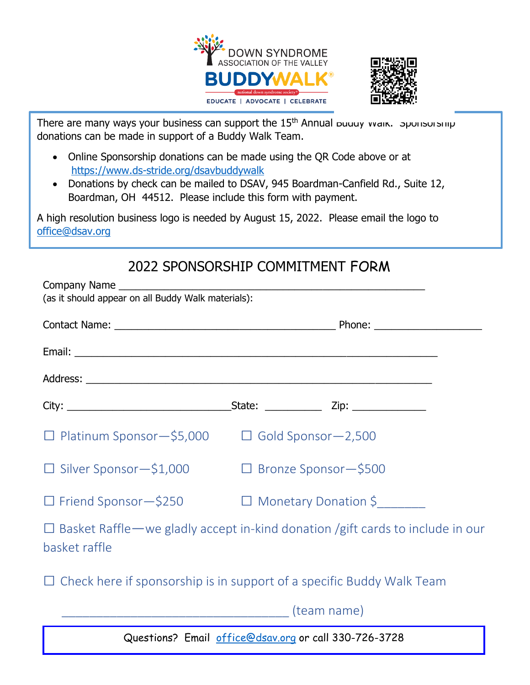



There are many ways your business can support the  $15<sup>th</sup>$  Annual Buddy Walk. Sponsorship donations can be made in support of a Buddy Walk Team.

- Online Sponsorship donations can be made using the QR Code above or at <https://www.ds-stride.org/dsavbuddywalk>
- Donations by check can be mailed to DSAV, 945 Boardman-Canfield Rd., Suite 12, Boardman, OH 44512. Please include this form with payment.

A high resolution business logo is needed by August 15, 2022. Please email the logo to [office@dsav.org](mailto:office@dsav.org)

## 2022 SPONSORSHIP COMMITMENT FORM

| Company Name<br>(as it should appear on all Buddy Walk materials):                                      |                        |                             |
|---------------------------------------------------------------------------------------------------------|------------------------|-----------------------------|
|                                                                                                         |                        |                             |
|                                                                                                         |                        |                             |
|                                                                                                         |                        |                             |
|                                                                                                         |                        |                             |
| $\Box$ Platinum Sponsor - \$5,000 $\Box$ Gold Sponsor - 2,500                                           |                        |                             |
| $\Box$ Silver Sponsor $-\$1,000$                                                                        |                        | $\Box$ Bronze Sponsor-\$500 |
| $\Box$ Friend Sponsor - \$250                                                                           | □ Monetary Donation \$ |                             |
| $\Box$ Basket Raffle — we gladly accept in-kind donation /gift cards to include in our<br>basket raffle |                        |                             |
| $\Box$ Check here if sponsorship is in support of a specific Buddy Walk Team                            |                        |                             |
|                                                                                                         |                        |                             |
| Questions? Email office@dsav.org or call 330-726-3728                                                   |                        |                             |